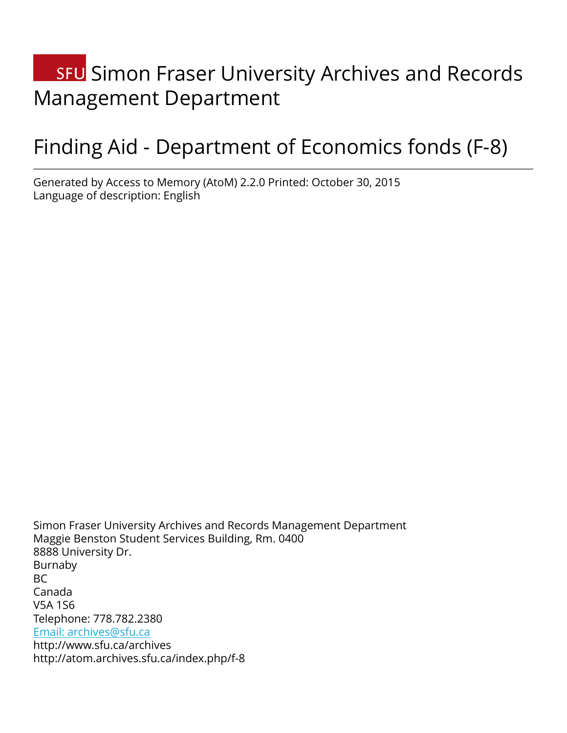# **SFU** Simon Fraser University Archives and Records Management Department

# Finding Aid - Department of Economics fonds (F-8)

Generated by Access to Memory (AtoM) 2.2.0 Printed: October 30, 2015 Language of description: English

Simon Fraser University Archives and Records Management Department Maggie Benston Student Services Building, Rm. 0400 8888 University Dr. Burnaby BC Canada V5A 1S6 Telephone: 778.782.2380 [Email: archives@sfu.ca](mailto:Email: archives@sfu.ca) http://www.sfu.ca/archives http://atom.archives.sfu.ca/index.php/f-8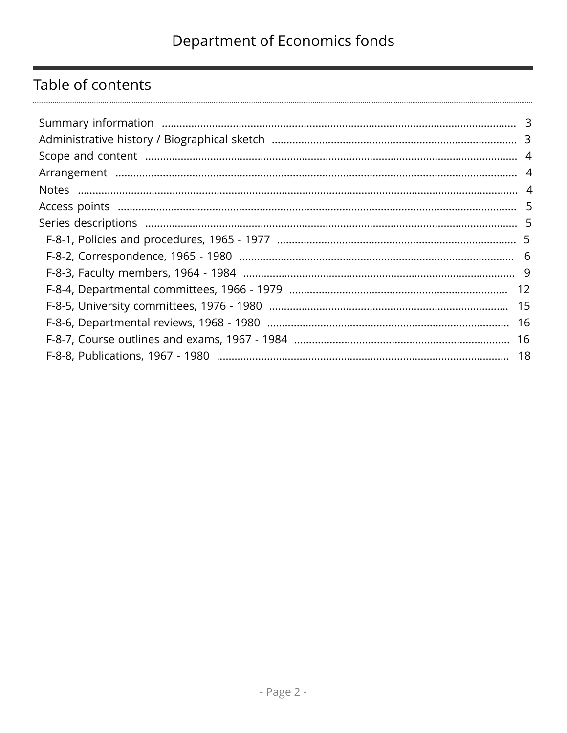## Table of contents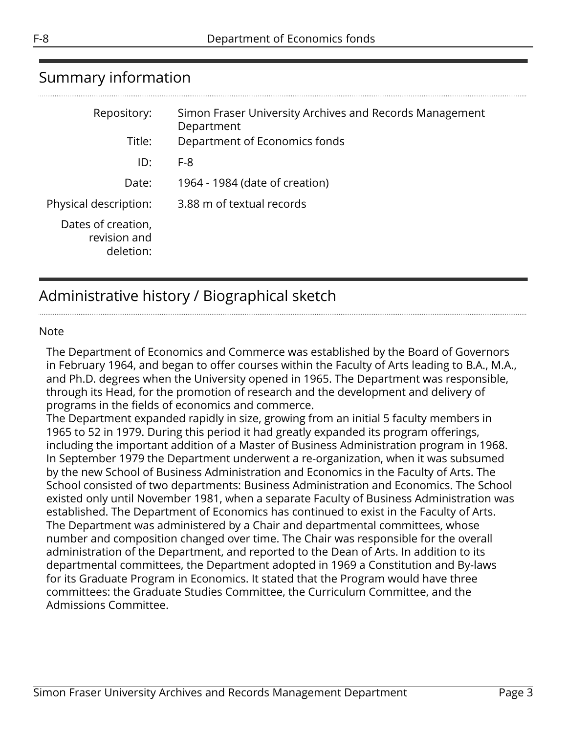<span id="page-2-0"></span>

| Repository:                                     | Simon Fraser University Archives and Records Management<br>Department |
|-------------------------------------------------|-----------------------------------------------------------------------|
| Title:                                          | Department of Economics fonds                                         |
| ID:                                             | $F-8$                                                                 |
| Date:                                           | 1964 - 1984 (date of creation)                                        |
| Physical description:                           | 3.88 m of textual records                                             |
| Dates of creation,<br>revision and<br>deletion: |                                                                       |

## <span id="page-2-1"></span>Administrative history / Biographical sketch

#### Note

The Department of Economics and Commerce was established by the Board of Governors in February 1964, and began to offer courses within the Faculty of Arts leading to B.A., M.A., and Ph.D. degrees when the University opened in 1965. The Department was responsible, through its Head, for the promotion of research and the development and delivery of programs in the fields of economics and commerce.

The Department expanded rapidly in size, growing from an initial 5 faculty members in 1965 to 52 in 1979. During this period it had greatly expanded its program offerings, including the important addition of a Master of Business Administration program in 1968. In September 1979 the Department underwent a re-organization, when it was subsumed by the new School of Business Administration and Economics in the Faculty of Arts. The School consisted of two departments: Business Administration and Economics. The School existed only until November 1981, when a separate Faculty of Business Administration was established. The Department of Economics has continued to exist in the Faculty of Arts. The Department was administered by a Chair and departmental committees, whose number and composition changed over time. The Chair was responsible for the overall administration of the Department, and reported to the Dean of Arts. In addition to its departmental committees, the Department adopted in 1969 a Constitution and By-laws for its Graduate Program in Economics. It stated that the Program would have three committees: the Graduate Studies Committee, the Curriculum Committee, and the Admissions Committee.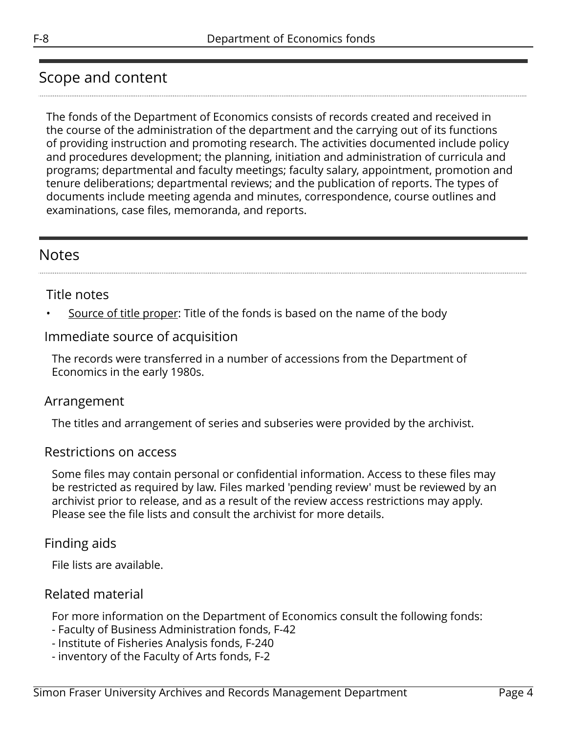## <span id="page-3-0"></span>Scope and content

The fonds of the Department of Economics consists of records created and received in the course of the administration of the department and the carrying out of its functions of providing instruction and promoting research. The activities documented include policy and procedures development; the planning, initiation and administration of curricula and programs; departmental and faculty meetings; faculty salary, appointment, promotion and tenure deliberations; departmental reviews; and the publication of reports. The types of documents include meeting agenda and minutes, correspondence, course outlines and examinations, case files, memoranda, and reports.

## <span id="page-3-2"></span>Notes

#### Title notes

Source of title proper: Title of the fonds is based on the name of the body

### Immediate source of acquisition

The records were transferred in a number of accessions from the Department of Economics in the early 1980s.

#### <span id="page-3-1"></span>Arrangement

The titles and arrangement of series and subseries were provided by the archivist.

#### Restrictions on access

Some files may contain personal or confidential information. Access to these files may be restricted as required by law. Files marked 'pending review' must be reviewed by an archivist prior to release, and as a result of the review access restrictions may apply. Please see the file lists and consult the archivist for more details.

### Finding aids

File lists are available.

### Related material

For more information on the Department of Economics consult the following fonds:

- Faculty of Business Administration fonds, F-42
- Institute of Fisheries Analysis fonds, F-240
- inventory of the Faculty of Arts fonds, F-2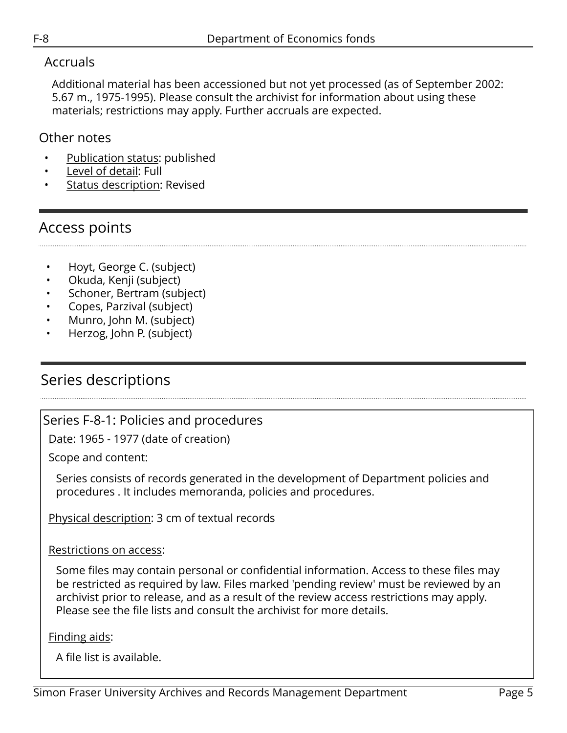### Accruals

Additional material has been accessioned but not yet processed (as of September 2002: 5.67 m., 1975-1995). Please consult the archivist for information about using these materials; restrictions may apply. Further accruals are expected.

### Other notes

- Publication status: published
- Level of detail: Full
- Status description: Revised

## <span id="page-4-0"></span>Access points

- Hoyt, George C. (subject)
- Okuda, Kenji (subject)
- Schoner, Bertram (subject)
- Copes, Parzival (subject)
- Munro, John M. (subject)
- Herzog, John P. (subject)

## <span id="page-4-1"></span>Series descriptions

## <span id="page-4-2"></span>Series F-8-1: Policies and procedures

Date: 1965 - 1977 (date of creation)

Scope and content:

Series consists of records generated in the development of Department policies and procedures . It includes memoranda, policies and procedures.

Physical description: 3 cm of textual records

#### Restrictions on access:

Some files may contain personal or confidential information. Access to these files may be restricted as required by law. Files marked 'pending review' must be reviewed by an archivist prior to release, and as a result of the review access restrictions may apply. Please see the file lists and consult the archivist for more details.

Finding aids:

A file list is available.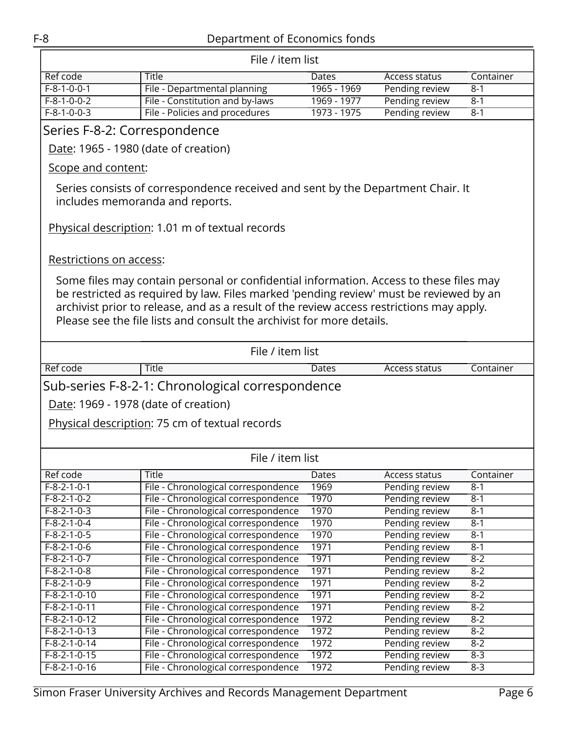<span id="page-5-0"></span>

| File / item list                                 |                                                                                                                    |             |                |           |  |
|--------------------------------------------------|--------------------------------------------------------------------------------------------------------------------|-------------|----------------|-----------|--|
| Ref code                                         | <b>Title</b>                                                                                                       | Dates       | Access status  | Container |  |
| $F-8-1-0-0-1$                                    | File - Departmental planning                                                                                       | 1965 - 1969 | Pending review | $8 - 1$   |  |
| $F-8-1-0-0-2$                                    | File - Constitution and by-laws                                                                                    | 1969 - 1977 | Pending review | $8 - 1$   |  |
| $F-8-1-0-0-3$                                    | File - Policies and procedures                                                                                     | 1973 - 1975 | Pending review | $8 - 1$   |  |
| Series F-8-2: Correspondence                     |                                                                                                                    |             |                |           |  |
| Date: 1965 - 1980 (date of creation)             |                                                                                                                    |             |                |           |  |
|                                                  |                                                                                                                    |             |                |           |  |
| Scope and content:                               |                                                                                                                    |             |                |           |  |
|                                                  | Series consists of correspondence received and sent by the Department Chair. It<br>includes memoranda and reports. |             |                |           |  |
|                                                  | Physical description: 1.01 m of textual records                                                                    |             |                |           |  |
| Restrictions on access:                          |                                                                                                                    |             |                |           |  |
|                                                  | Some files may contain personal or confidential information. Access to these files may                             |             |                |           |  |
|                                                  | be restricted as required by law. Files marked 'pending review' must be reviewed by an                             |             |                |           |  |
|                                                  | archivist prior to release, and as a result of the review access restrictions may apply.                           |             |                |           |  |
|                                                  | Please see the file lists and consult the archivist for more details.                                              |             |                |           |  |
|                                                  |                                                                                                                    |             |                |           |  |
|                                                  | File / item list                                                                                                   |             |                |           |  |
| Ref code                                         | <b>Title</b>                                                                                                       | Dates       | Access status  | Container |  |
| Sub-series F-8-2-1: Chronological correspondence |                                                                                                                    |             |                |           |  |
|                                                  |                                                                                                                    |             |                |           |  |
|                                                  | Date: 1969 - 1978 (date of creation)                                                                               |             |                |           |  |
|                                                  | Physical description: 75 cm of textual records                                                                     |             |                |           |  |
|                                                  |                                                                                                                    |             |                |           |  |
|                                                  |                                                                                                                    |             |                |           |  |
|                                                  | File / item list                                                                                                   |             |                |           |  |
| Ref code                                         | Title                                                                                                              | Dates       | Access status  | Container |  |
| $F-8-2-1-0-1$                                    | File - Chronological correspondence                                                                                | 1969        | Pending review | $8 - 1$   |  |
| $F-8-2-1-0-2$                                    | File - Chronological correspondence                                                                                | 1970        | Pending review | $8 - 1$   |  |
| $F-8-2-1-0-3$                                    | File - Chronological correspondence                                                                                | 1970        | Pending review | $8 - 1$   |  |
| $F-8-2-1-0-4$                                    | File - Chronological correspondence                                                                                | 1970        | Pending review | $8 - 1$   |  |
| $F-8-2-1-0-5$                                    | File - Chronological correspondence                                                                                | 1970        | Pending review | $8 - 1$   |  |
| $F-8-2-1-0-6$                                    | File - Chronological correspondence                                                                                | 1971        | Pending review | $8 - 1$   |  |
| $F-8-2-1-0-7$                                    | File - Chronological correspondence                                                                                | 1971        | Pending review | $8 - 2$   |  |
| $F-8-2-1-0-8$                                    | File - Chronological correspondence                                                                                | 1971        | Pending review | $8 - 2$   |  |
| $F - 8 - 2 - 1 - 0 - 9$                          | File - Chronological correspondence                                                                                | 1971        | Pending review | $8 - 2$   |  |
| $F-8-2-1-0-10$                                   | File - Chronological correspondence                                                                                | 1971        | Pending review | $8 - 2$   |  |
| $F-8-2-1-0-11$                                   | File - Chronological correspondence                                                                                | 1971        | Pending review | $8 - 2$   |  |
| $F-8-2-1-0-12$                                   | File - Chronological correspondence                                                                                | 1972        | Pending review | $8 - 2$   |  |
| $F-8-2-1-0-13$                                   | File - Chronological correspondence                                                                                | 1972        | Pending review | $8 - 2$   |  |
| $F-8-2-1-0-14$                                   | File - Chronological correspondence                                                                                | 1972        | Pending review | $8 - 2$   |  |
| $F-8-2-1-0-15$                                   | File - Chronological correspondence                                                                                | 1972        | Pending review | $8 - 3$   |  |
| $F-8-2-1-0-16$                                   | File - Chronological correspondence                                                                                | 1972        | Pending review | $8 - 3$   |  |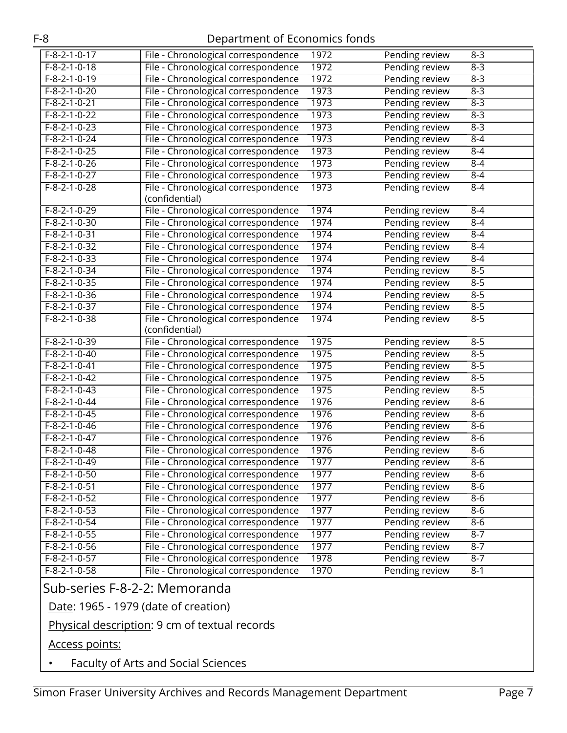| $F-8-2-1-0-17$           | File - Chronological correspondence | 1972 | Pending review | $8 - 3$ |
|--------------------------|-------------------------------------|------|----------------|---------|
| $F-8-2-1-0-18$           | File - Chronological correspondence | 1972 | Pending review | $8 - 3$ |
| $F - 8 - 2 - 1 - 0 - 19$ | File - Chronological correspondence | 1972 | Pending review | $8 - 3$ |
| $F-8-2-1-0-20$           | File - Chronological correspondence | 1973 | Pending review | $8 - 3$ |
| $F-8-2-1-0-21$           | File - Chronological correspondence | 1973 | Pending review | $8 - 3$ |
| $F-8-2-1-0-22$           | File - Chronological correspondence | 1973 | Pending review | $8 - 3$ |
| $F-8-2-1-0-23$           | File - Chronological correspondence | 1973 | Pending review | $8 - 3$ |
| $F-8-2-1-0-24$           | File - Chronological correspondence | 1973 | Pending review | $8 - 4$ |
| $F-8-2-1-0-25$           | File - Chronological correspondence | 1973 | Pending review | $8 - 4$ |
| $F-8-2-1-0-26$           | File - Chronological correspondence | 1973 | Pending review | $8 - 4$ |
| $F-8-2-1-0-27$           | File - Chronological correspondence | 1973 | Pending review | $8 - 4$ |
| $F-8-2-1-0-28$           | File - Chronological correspondence | 1973 | Pending review | $8 - 4$ |
|                          | (confidential)                      |      |                |         |
| $F-8-2-1-0-29$           | File - Chronological correspondence | 1974 | Pending review | $8 - 4$ |
| $F-8-2-1-0-30$           | File - Chronological correspondence | 1974 | Pending review | $8-4$   |
| $F-8-2-1-0-31$           | File - Chronological correspondence | 1974 | Pending review | $8 - 4$ |
| $F-8-2-1-0-32$           | File - Chronological correspondence | 1974 | Pending review | $8 - 4$ |
| $F-8-2-1-0-33$           | File - Chronological correspondence | 1974 | Pending review | $8 - 4$ |
| $F-8-2-1-0-34$           | File - Chronological correspondence | 1974 | Pending review | $8 - 5$ |
| $F-8-2-1-0-35$           | File - Chronological correspondence | 1974 | Pending review | $8 - 5$ |
| $F-8-2-1-0-36$           | File - Chronological correspondence | 1974 | Pending review | $8 - 5$ |
| $F-8-2-1-0-37$           | File - Chronological correspondence | 1974 | Pending review | $8 - 5$ |
| F-8-2-1-0-38             | File - Chronological correspondence | 1974 | Pending review | $8 - 5$ |
|                          | (confidential)                      |      |                |         |
| $F-8-2-1-0-39$           | File - Chronological correspondence | 1975 | Pending review | $8 - 5$ |
| $F-8-2-1-0-40$           | File - Chronological correspondence | 1975 | Pending review | $8 - 5$ |
| $F-8-2-1-0-41$           | File - Chronological correspondence | 1975 | Pending review | $8 - 5$ |
| $F-8-2-1-0-42$           | File - Chronological correspondence | 1975 | Pending review | $8 - 5$ |
| $F-8-2-1-0-43$           | File - Chronological correspondence | 1975 | Pending review | $8 - 5$ |
| $F-8-2-1-0-44$           | File - Chronological correspondence | 1976 | Pending review | $8-6$   |
| $F-8-2-1-0-45$           | File - Chronological correspondence | 1976 | Pending review | $8-6$   |
| $F-8-2-1-0-46$           | File - Chronological correspondence | 1976 | Pending review | $8 - 6$ |
| $F-8-2-1-0-47$           | File - Chronological correspondence | 1976 | Pending review | $8 - 6$ |
| $F-8-2-1-0-48$           | File - Chronological correspondence | 1976 | Pending review | $8 - 6$ |
| $F-8-2-1-0-49$           | File - Chronological correspondence | 1977 | Pending review | $8-6$   |
| $F-8-2-1-0-50$           | File - Chronological correspondence | 1977 | Pending review | $8-6$   |
| $F-8-2-1-0-51$           | File - Chronological correspondence | 1977 | Pending review | $8-6$   |
| $F-8-2-1-0-52$           | File - Chronological correspondence | 1977 | Pending review | $8-6$   |
| $F-8-2-1-0-53$           | File - Chronological correspondence | 1977 | Pending review | $8-6$   |
| $F-8-2-1-0-54$           | File - Chronological correspondence | 1977 | Pending review | $8 - 6$ |
| $F - 8 - 2 - 1 - 0 - 55$ | File - Chronological correspondence | 1977 | Pending review | $8 - 7$ |
| $F-8-2-1-0-56$           | File - Chronological correspondence | 1977 | Pending review | $8 - 7$ |
| $F-8-2-1-0-57$           | File - Chronological correspondence | 1978 | Pending review | $8 - 7$ |
| $F-8-2-1-0-58$           | File - Chronological correspondence | 1970 | Pending review | $8 - 1$ |

### Sub-series F-8-2-2: Memoranda

Date: 1965 - 1979 (date of creation)

## Physical description: 9 cm of textual records

Access points:

• Faculty of Arts and Social Sciences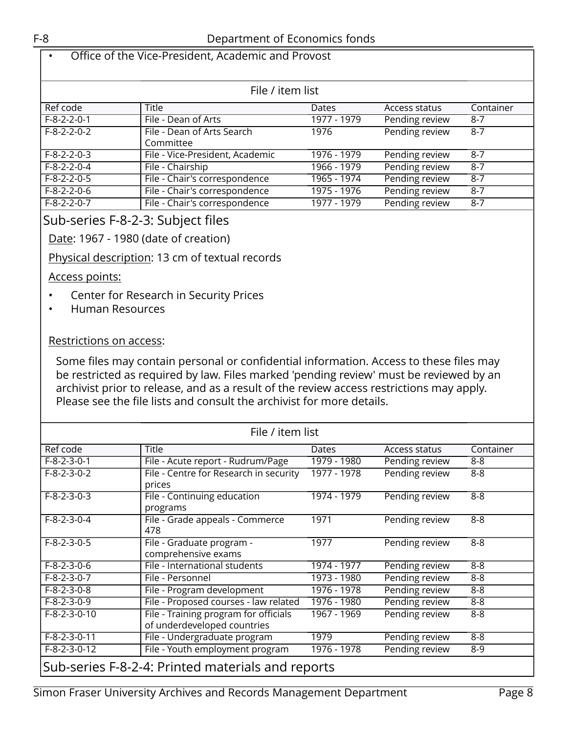#### • Office of the Vice-President, Academic and Provost

| File / item list        |                                 |             |                |           |
|-------------------------|---------------------------------|-------------|----------------|-----------|
| Ref code                | <b>Title</b>                    | Dates       | Access status  | Container |
| $F-8-2-2-0-1$           | File - Dean of Arts             | 1977 - 1979 | Pending review | $8 - 7$   |
| $F - 8 - 2 - 2 - 0 - 2$ | File - Dean of Arts Search      | 1976        | Pending review | $8 - 7$   |
|                         | Committee                       |             |                |           |
| $F-8-2-2-0-3$           | File - Vice-President, Academic | 1976 - 1979 | Pending review | $8 - 7$   |
| $F-8-2-2-0-4$           | File - Chairship                | 1966 - 1979 | Pending review | $8 - 7$   |
| $F-8-2-2-0-5$           | File - Chair's correspondence   | 1965 - 1974 | Pending review | $8 - 7$   |
| $F-8-2-2-0-6$           | File - Chair's correspondence   | 1975 - 1976 | Pending review | $8 - 7$   |
| $F-8-2-2-0-7$           | File - Chair's correspondence   | 1977 - 1979 | Pending review | $8 - 7$   |

### Sub-series F-8-2-3: Subject files

#### Date: 1967 - 1980 (date of creation)

Physical description: 13 cm of textual records

#### Access points:

- Center for Research in Security Prices
- Human Resources

#### Restrictions on access:

| File / item list                                  |                                                                      |             |                |           |
|---------------------------------------------------|----------------------------------------------------------------------|-------------|----------------|-----------|
| Ref code                                          | <b>Title</b>                                                         | Dates       | Access status  | Container |
| $F-8-2-3-0-1$                                     | File - Acute report - Rudrum/Page                                    | 1979 - 1980 | Pending review | $8 - 8$   |
| $F-8-2-3-0-2$                                     | File - Centre for Research in security<br>prices                     | 1977 - 1978 | Pending review | 8-8       |
| $F-8-2-3-0-3$                                     | File - Continuing education<br>programs                              | 1974 - 1979 | Pending review | $8 - 8$   |
| $F-8-2-3-0-4$                                     | File - Grade appeals - Commerce<br>478                               | 1971        | Pending review | $8 - 8$   |
| $F-8-2-3-0-5$                                     | File - Graduate program -<br>comprehensive exams                     | 1977        | Pending review | $8 - 8$   |
| $F-8-2-3-0-6$                                     | File - International students                                        | 1974 - 1977 | Pending review | $8 - 8$   |
| $F-8-2-3-0-7$                                     | File - Personnel                                                     | 1973 - 1980 | Pending review | 8-8       |
| $F-8-2-3-0-8$                                     | File - Program development                                           | 1976 - 1978 | Pending review | $8 - 8$   |
| $F-8-2-3-0-9$                                     | File - Proposed courses - law related                                | 1976 - 1980 | Pending review | 8-8       |
| $F-8-2-3-0-10$                                    | File - Training program for officials<br>of underdeveloped countries | 1967 - 1969 | Pending review | $8 - 8$   |
| $F-8-2-3-0-11$                                    | File - Undergraduate program                                         | 1979        | Pending review | 8-8       |
| $F-8-2-3-0-12$                                    | File - Youth employment program                                      | 1976 - 1978 | Pending review | $8-9$     |
| Sub-series F-8-2-4: Printed materials and reports |                                                                      |             |                |           |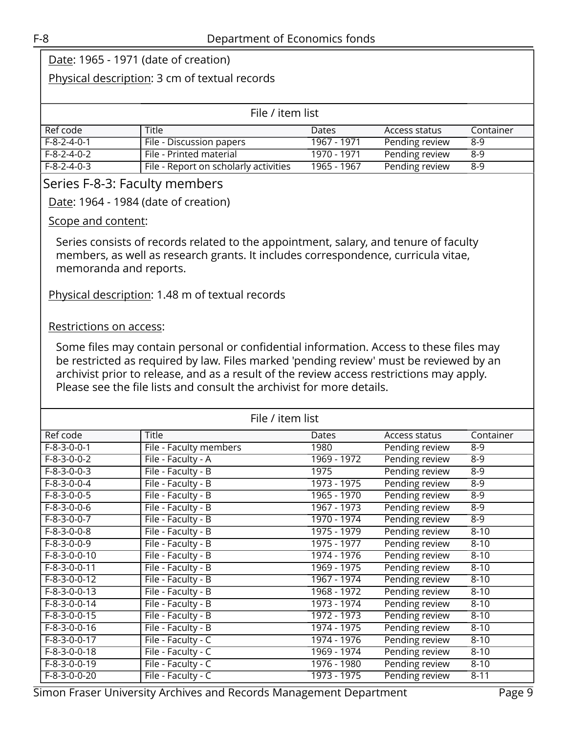#### Physical description: 3 cm of textual records

| File / item list |                                       |              |                |           |
|------------------|---------------------------------------|--------------|----------------|-----------|
| Ref code         | <b>Title</b>                          | <b>Dates</b> | Access status  | Container |
| F-8-2-4-0-1      | File - Discussion papers              | 1967 - 1971  | Pending review | 8-9       |
| F-8-2-4-0-2      | File - Printed material               | 1970 - 1971  | Pending review | $8-9$     |
| F-8-2-4-0-3      | File - Report on scholarly activities | 1965 - 1967  | Pending review | 8-9       |

#### <span id="page-8-0"></span>Series F-8-3: Faculty members

Date: 1964 - 1984 (date of creation)

#### Scope and content:

Series consists of records related to the appointment, salary, and tenure of faculty members, as well as research grants. It includes correspondence, curricula vitae, memoranda and reports.

Physical description: 1.48 m of textual records

#### Restrictions on access:

| File / item list |                        |             |                |           |
|------------------|------------------------|-------------|----------------|-----------|
| Ref code         | Title                  | Dates       | Access status  | Container |
| $F-8-3-0-0-1$    | File - Faculty members | 1980        | Pending review | $8 - 9$   |
| $F-8-3-0-0-2$    | File - Faculty - A     | 1969 - 1972 | Pending review | $8 - 9$   |
| $F-8-3-0-0-3$    | File - Faculty - B     | 1975        | Pending review | $8 - 9$   |
| $F-8-3-0-0-4$    | File - Faculty - B     | 1973 - 1975 | Pending review | $8-9$     |
| $F-8-3-0-0-5$    | File - Faculty - B     | 1965 - 1970 | Pending review | $8 - 9$   |
| $F-8-3-0-0-6$    | File - Faculty - B     | 1967 - 1973 | Pending review | $8 - 9$   |
| $F-8-3-0-0-7$    | File - Faculty - B     | 1970 - 1974 | Pending review | $8 - 9$   |
| $F-8-3-0-0-8$    | File - Faculty - B     | 1975 - 1979 | Pending review | $8 - 10$  |
| $F-8-3-0-0-9$    | File - Faculty - B     | 1975 - 1977 | Pending review | $8 - 10$  |
| $F-8-3-0-0-10$   | File - Faculty - B     | 1974 - 1976 | Pending review | $8 - 10$  |
| $F-8-3-0-0-11$   | File - Faculty - B     | 1969 - 1975 | Pending review | $8 - 10$  |
| $F-8-3-0-0-12$   | File - Faculty - B     | 1967 - 1974 | Pending review | $8 - 10$  |
| $F-8-3-0-0-13$   | File - Faculty - B     | 1968 - 1972 | Pending review | $8 - 10$  |
| $F-8-3-0-0-14$   | File - Faculty - B     | 1973 - 1974 | Pending review | $8 - 10$  |
| $F-8-3-0-0-15$   | File - Faculty - B     | 1972 - 1973 | Pending review | $8 - 10$  |
| $F-8-3-0-0-16$   | File - Faculty - B     | 1974 - 1975 | Pending review | $8 - 10$  |
| $F-8-3-0-0-17$   | File - Faculty - C     | 1974 - 1976 | Pending review | $8 - 10$  |
| $F-8-3-0-0-18$   | File - Faculty - C     | 1969 - 1974 | Pending review | $8 - 10$  |
| $F-8-3-0-0-19$   | File - Faculty - C     | 1976 - 1980 | Pending review | $8 - 10$  |
| F-8-3-0-0-20     | File - Faculty - C     | 1973 - 1975 | Pending review | $8 - 11$  |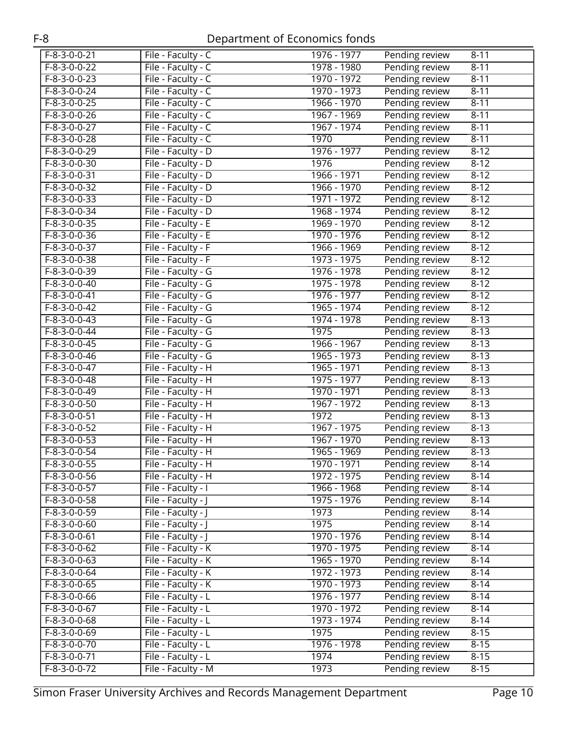| $F-8-3-0-0-21$ | File - Faculty - C   | 1976 - 1977   | Pending review | $8 - 11$ |
|----------------|----------------------|---------------|----------------|----------|
| $F-8-3-0-0-22$ | File - Faculty - C   | 1978 - 1980   | Pending review | $8-11$   |
| $F-8-3-0-0-23$ | File - Faculty - C   | 1970 - 1972   | Pending review | $8 - 11$ |
| $F-8-3-0-0-24$ | File - Faculty - C   | 1970 - 1973   | Pending review | $8-11$   |
| F-8-3-0-0-25   | File - Faculty - C   | 1966 - 1970   | Pending review | $8 - 11$ |
| $F-8-3-0-0-26$ | File - Faculty - C   | 1967 - 1969   | Pending review | $8 - 11$ |
| $F-8-3-0-0-27$ | File - Faculty - C   | 1967 - 1974   | Pending review | $8-11$   |
| $F-8-3-0-0-28$ | File - Faculty - C   | 1970          | Pending review | $8-11$   |
| $F-8-3-0-0-29$ | File - Faculty - D   | 1976 - 1977   | Pending review | $8-12$   |
| $F-8-3-0-0-30$ | File - Faculty - D   | 1976          | Pending review | $8-12$   |
| F-8-3-0-0-31   | File - Faculty - D   | $1966 - 1971$ | Pending review | $8 - 12$ |
| $F-8-3-0-0-32$ | File - Faculty - D   | 1966 - 1970   | Pending review | $8 - 12$ |
| $F-8-3-0-0-33$ | File - Faculty - D   | 1971 - 1972   | Pending review | $8-12$   |
| $F-8-3-0-0-34$ | File - Faculty - D   | 1968 - 1974   | Pending review | $8-12$   |
| $F-8-3-0-0-35$ | File - Faculty - E   | 1969 - 1970   | Pending review | $8-12$   |
| $F-8-3-0-0-36$ | File - Faculty - E   | 1970 - 1976   | Pending review | $8 - 12$ |
| $F-8-3-0-0-37$ | File - Faculty - F   | 1966 - 1969   | Pending review | $8 - 12$ |
| $F-8-3-0-0-38$ | File - Faculty - F   | 1973 - 1975   | Pending review | $8 - 12$ |
| $F-8-3-0-0-39$ | File - Faculty - G   | 1976 - 1978   | Pending review | $8 - 12$ |
| $F-8-3-0-0-40$ | File - Faculty - G   | 1975 - 1978   | Pending review | $8-12$   |
| $F-8-3-0-0-41$ | File - Faculty - G   | 1976 - 1977   | Pending review | $8-12$   |
| $F-8-3-0-0-42$ | File - Faculty - G   | 1965 - 1974   | Pending review | $8-12$   |
| $F-8-3-0-0-43$ | File - Faculty - G   | 1974 - 1978   | Pending review | $8 - 13$ |
| $F-8-3-0-0-44$ | File - Faculty - G   | 1975          | Pending review | $8 - 13$ |
| $F-8-3-0-0-45$ | File - Faculty - G   | 1966 - 1967   | Pending review | $8 - 13$ |
| $F-8-3-0-0-46$ | File - Faculty - G   | 1965 - 1973   | Pending review | $8 - 13$ |
| $F-8-3-0-0-47$ | File - Faculty - H   | 1965 - 1971   | Pending review | $8 - 13$ |
| $F-8-3-0-0-48$ | File - Faculty - H   | 1975 - 1977   | Pending review | $8 - 13$ |
| F-8-3-0-0-49   | File - Faculty - H   | 1970 - 1971   | Pending review | $8 - 13$ |
| $F-8-3-0-0-50$ | File - Faculty - H   | 1967 - 1972   | Pending review | $8 - 13$ |
| $F-8-3-0-0-51$ | File - Faculty - H   | 1972          | Pending review | $8 - 13$ |
| $F-8-3-0-0-52$ | File - Faculty - H   | 1967 - 1975   | Pending review | $8 - 13$ |
| $F-8-3-0-0-53$ | File - Faculty - H   | 1967 - 1970   | Pending review | $8 - 13$ |
| $F-8-3-0-0-54$ | File - Faculty - H   | 1965 - 1969   | Pending review | $8 - 13$ |
| $F-8-3-0-0-55$ | File - Faculty - H   | 1970 - 1971   | Pending review | $8 - 14$ |
| F-8-3-0-0-56   | File - Faculty - H   | 1972 - 1975   | Pending review | $8 - 14$ |
| F-8-3-0-0-57   | File - Faculty - I   | $1966 - 1968$ | Pending review | $8 - 14$ |
| $F-8-3-0-0-58$ | File - Faculty - J   | 1975 - 1976   | Pending review | $8 - 14$ |
| F-8-3-0-0-59   | File - Faculty - J   | 1973          | Pending review | $8 - 14$ |
| $F-8-3-0-0-60$ | File - Faculty - J   | 1975          | Pending review | $8 - 14$ |
| F-8-3-0-0-61   | File - Faculty - J   | 1970 - 1976   | Pending review | $8 - 14$ |
| $F-8-3-0-0-62$ | File - Faculty - K   | 1970 - 1975   | Pending review | $8 - 14$ |
| $F-8-3-0-0-63$ | File - Faculty - K   | 1965 - 1970   | Pending review | $8 - 14$ |
| $F-8-3-0-0-64$ | File - Faculty - K   | 1972 - 1973   | Pending review | $8 - 14$ |
| $F-8-3-0-0-65$ | File - Faculty - K   | 1970 - 1973   | Pending review | $8 - 14$ |
| F-8-3-0-0-66   | File - Faculty - L   | 1976 - 1977   | Pending review | $8 - 14$ |
| F-8-3-0-0-67   | File - Faculty - $L$ | 1970 - 1972   | Pending review | $8 - 14$ |
| F-8-3-0-0-68   | File - Faculty - L   | 1973 - 1974   | Pending review | $8 - 14$ |
| F-8-3-0-0-69   | File - Faculty - L   | 1975          | Pending review | $8 - 15$ |
| F-8-3-0-0-70   | File - Faculty - L   | 1976 - 1978   | Pending review | $8 - 15$ |
| $F-8-3-0-0-71$ | File - Faculty - L   | 1974          | Pending review | $8 - 15$ |
| F-8-3-0-0-72   |                      | 1973          |                |          |
|                | File - Faculty - M   |               | Pending review | $8 - 15$ |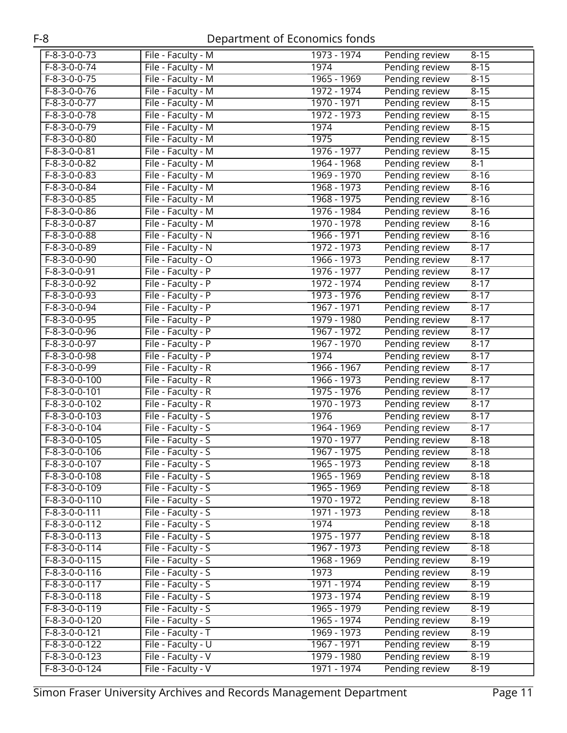| F-8-3-0-0-73    | File - Faculty - M | 1973 - 1974   | Pending review | $8 - 15$ |
|-----------------|--------------------|---------------|----------------|----------|
| $F-8-3-0-0-74$  | File - Faculty - M | 1974          | Pending review | $8 - 15$ |
| $F-8-3-0-0-75$  | File - Faculty - M | 1965 - 1969   | Pending review | $8 - 15$ |
| $F-8-3-0-0-76$  | File - Faculty - M | 1972 - 1974   | Pending review | $8 - 15$ |
| $F-8-3-0-0-77$  | File - Faculty - M | 1970 - 1971   | Pending review | $8 - 15$ |
| $F-8-3-0-0-78$  | File - Faculty - M | 1972 - 1973   | Pending review | $8 - 15$ |
| $F-8-3-0-0-79$  | File - Faculty - M | 1974          | Pending review | $8 - 15$ |
| $F-8-3-0-0-80$  | File - Faculty - M | 1975          | Pending review | $8 - 15$ |
| $F-8-3-0-0-81$  | File - Faculty - M | 1976 - 1977   | Pending review | $8 - 15$ |
| $F-8-3-0-0-82$  | File - Faculty - M | 1964 - 1968   | Pending review | $8-1$    |
| $F-8-3-0-0-83$  | File - Faculty - M | 1969 - 1970   | Pending review | $8 - 16$ |
| $F-8-3-0-0-84$  | File - Faculty - M | 1968 - 1973   | Pending review | $8 - 16$ |
| $F-8-3-0-0-85$  | File - Faculty - M | 1968 - 1975   | Pending review | $8 - 16$ |
| $F-8-3-0-0-86$  | File - Faculty - M | 1976 - 1984   | Pending review | $8 - 16$ |
| $F-8-3-0-0-87$  | File - Faculty - M | 1970 - 1978   | Pending review | $8 - 16$ |
| $F-8-3-0-0-88$  | File - Faculty - N | 1966 - 1971   | Pending review | $8 - 16$ |
| $F-8-3-0-0-89$  | File - Faculty - N | $1972 - 1973$ | Pending review | $8-17$   |
| $F-8-3-0-0-90$  | File - Faculty - O | 1966 - 1973   | Pending review | $8 - 17$ |
| F-8-3-0-0-91    | File - Faculty - P | 1976 - 1977   | Pending review | $8 - 17$ |
| $F-8-3-0-0-92$  | File - Faculty - P | 1972 - 1974   | Pending review | $8 - 17$ |
| $F-8-3-0-0-93$  | File - Faculty - P | 1973 - 1976   | Pending review | $8 - 17$ |
| $F-8-3-0-0-94$  | File - Faculty - P | 1967 - 1971   | Pending review | $8 - 17$ |
| $F-8-3-0-0-95$  | File - Faculty - P | 1979 - 1980   | Pending review | $8 - 17$ |
| $F-8-3-0-0-96$  | File - Faculty - P | 1967 - 1972   | Pending review | $8 - 17$ |
| F-8-3-0-0-97    | File - Faculty - P | 1967 - 1970   | Pending review | $8 - 17$ |
| $F-8-3-0-0-98$  | File - Faculty - P | 1974          | Pending review | $8-17$   |
| $F-8-3-0-0-99$  | File - Faculty - R | 1966 - 1967   | Pending review | $8 - 17$ |
| $F-8-3-0-0-100$ | File - Faculty - R | 1966 - 1973   | Pending review | $8-17$   |
| $F-8-3-0-0-101$ | File - Faculty - R | 1975 - 1976   | Pending review | $8 - 17$ |
| $F-8-3-0-0-102$ | File - Faculty - R | 1970 - 1973   | Pending review | $8 - 17$ |
| F-8-3-0-0-103   | File - Faculty - S | 1976          | Pending review | $8 - 17$ |
| $F-8-3-0-0-104$ | File - Faculty - S | 1964 - 1969   | Pending review | $8 - 17$ |
| $F-8-3-0-0-105$ | File - Faculty - S | 1970 - 1977   | Pending review | $8 - 18$ |
| $F-8-3-0-0-106$ | File - Faculty - S | 1967 - 1975   | Pending review | $8 - 18$ |
| $F-8-3-0-0-107$ | File - Faculty - S | 1965 - 1973   | Pending review | $8 - 18$ |
| F-8-3-0-0-108   | File - Faculty - S | 1965 - 1969   | Pending review | $8 - 18$ |
| F-8-3-0-0-109   | File - Faculty - S | 1965 - 1969   | Pending review | $8 - 18$ |
| F-8-3-0-0-110   | File - Faculty - S | 1970 - 1972   | Pending review | $8 - 18$ |
| $F-8-3-0-0-111$ | File - Faculty - S | 1971 - 1973   | Pending review | $8 - 18$ |
| $F-8-3-0-0-112$ | File - Faculty - S | 1974          | Pending review | $8 - 18$ |
| F-8-3-0-0-113   | File - Faculty - S | 1975 - 1977   | Pending review | $8 - 18$ |
| F-8-3-0-0-114   | File - Faculty - S | 1967 - 1973   | Pending review | $8 - 18$ |
| F-8-3-0-0-115   | File - Faculty - S | 1968 - 1969   | Pending review | $8 - 19$ |
| F-8-3-0-0-116   | File - Faculty - S | 1973          | Pending review | $8 - 19$ |
| $F-8-3-0-0-117$ | File - Faculty - S | 1971 - 1974   | Pending review | $8 - 19$ |
| $F-8-3-0-0-118$ | File - Faculty - S | 1973 - 1974   | Pending review | $8 - 19$ |
| F-8-3-0-0-119   | File - Faculty - S | 1965 - 1979   | Pending review | $8 - 19$ |
| F-8-3-0-0-120   | File - Faculty - S | 1965 - 1974   | Pending review | $8 - 19$ |
| F-8-3-0-0-121   | File - Faculty - T | 1969 - 1973   | Pending review | $8 - 19$ |
| F-8-3-0-0-122   | File - Faculty - U | 1967 - 1971   | Pending review | $8 - 19$ |
| $F-8-3-0-0-123$ | File - Faculty - V | 1979 - 1980   | Pending review | $8-19$   |
| F-8-3-0-0-124   | File - Faculty - V | 1971 - 1974   | Pending review | $8 - 19$ |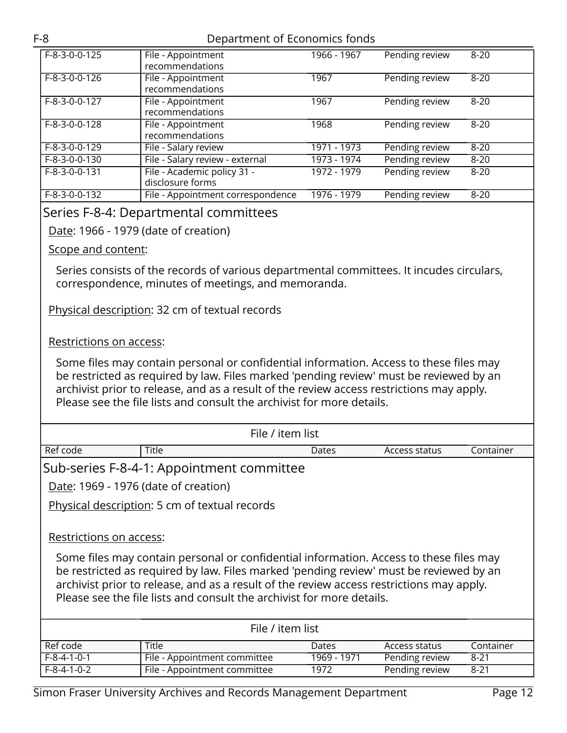| $F-8-3-0-0-125$ | File - Appointment<br>recommendations           | $1966 - 1967$ | Pending review | $8 - 20$ |
|-----------------|-------------------------------------------------|---------------|----------------|----------|
| F-8-3-0-0-126   | File - Appointment<br>recommendations           | 1967          | Pending review | $8 - 20$ |
| F-8-3-0-0-127   | File - Appointment<br>recommendations           | 1967          | Pending review | $8 - 20$ |
| F-8-3-0-0-128   | File - Appointment<br>recommendations           | 1968          | Pending review | $8 - 20$ |
| F-8-3-0-0-129   | File - Salary review                            | 1971 - 1973   | Pending review | $8 - 20$ |
| F-8-3-0-0-130   | File - Salary review - external                 | 1973 - 1974   | Pending review | $8 - 20$ |
| F-8-3-0-0-131   | File - Academic policy 31 -<br>disclosure forms | 1972 - 1979   | Pending review | $8 - 20$ |
| F-8-3-0-0-132   | File - Appointment correspondence               | 1976 - 1979   | Pending review | $8 - 20$ |

#### <span id="page-11-0"></span>Series F-8-4: Departmental committees

Date: 1966 - 1979 (date of creation)

Scope and content:

Series consists of the records of various departmental committees. It incudes circulars, correspondence, minutes of meetings, and memoranda.

Physical description: 32 cm of textual records

#### Restrictions on access:

| File / item list                                                                                                                                                                                                                                                                                                                                                                 |                                               |             |                |           |  |  |
|----------------------------------------------------------------------------------------------------------------------------------------------------------------------------------------------------------------------------------------------------------------------------------------------------------------------------------------------------------------------------------|-----------------------------------------------|-------------|----------------|-----------|--|--|
| Ref code                                                                                                                                                                                                                                                                                                                                                                         | Title                                         | Dates       | Access status  | Container |  |  |
| Sub-series F-8-4-1: Appointment committee                                                                                                                                                                                                                                                                                                                                        |                                               |             |                |           |  |  |
|                                                                                                                                                                                                                                                                                                                                                                                  | Date: 1969 - 1976 (date of creation)          |             |                |           |  |  |
|                                                                                                                                                                                                                                                                                                                                                                                  | Physical description: 5 cm of textual records |             |                |           |  |  |
| Restrictions on access:<br>Some files may contain personal or confidential information. Access to these files may<br>be restricted as required by law. Files marked 'pending review' must be reviewed by an<br>archivist prior to release, and as a result of the review access restrictions may apply.<br>Please see the file lists and consult the archivist for more details. |                                               |             |                |           |  |  |
| File / item list                                                                                                                                                                                                                                                                                                                                                                 |                                               |             |                |           |  |  |
| Ref code                                                                                                                                                                                                                                                                                                                                                                         | Title                                         | Dates       | Access status  | Container |  |  |
| $F-8-4-1-0-1$                                                                                                                                                                                                                                                                                                                                                                    | File - Appointment committee                  | 1969 - 1971 | Pending review | $8 - 21$  |  |  |
| $F-8-4-1-0-2$                                                                                                                                                                                                                                                                                                                                                                    | File - Appointment committee                  | 1972        | Pending review | $8 - 21$  |  |  |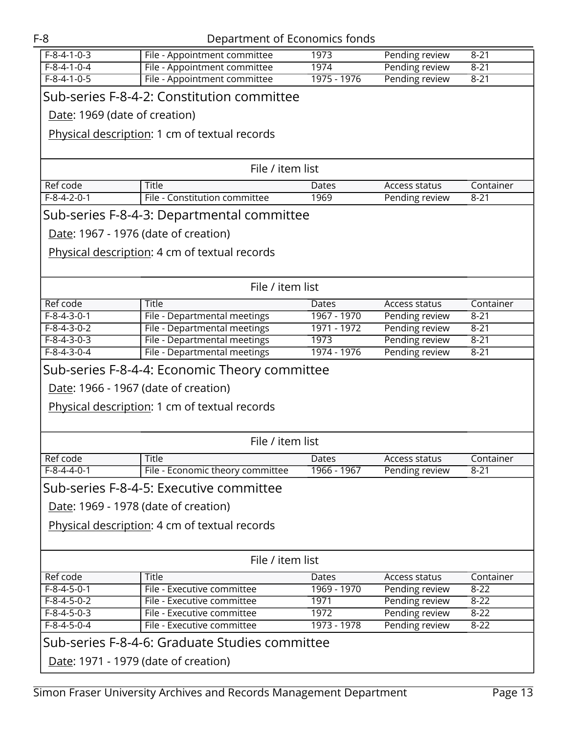| $F-8-4-1-0-3$                                 | File - Appointment committee                                                           | 1973        | Pending review | $8 - 21$  |  |  |  |
|-----------------------------------------------|----------------------------------------------------------------------------------------|-------------|----------------|-----------|--|--|--|
| $F-8-4-1-0-4$                                 | File - Appointment committee                                                           | 1974        | Pending review | $8 - 21$  |  |  |  |
| $F-8-4-1-0-5$                                 | File - Appointment committee                                                           | 1975 - 1976 | Pending review | $8 - 21$  |  |  |  |
|                                               | Sub-series F-8-4-2: Constitution committee                                             |             |                |           |  |  |  |
| Date: 1969 (date of creation)                 |                                                                                        |             |                |           |  |  |  |
|                                               | Physical description: 1 cm of textual records                                          |             |                |           |  |  |  |
|                                               |                                                                                        |             |                |           |  |  |  |
|                                               | File / item list                                                                       |             |                |           |  |  |  |
| Ref code                                      | <b>Title</b>                                                                           | Dates       | Access status  | Container |  |  |  |
| $F-8-4-2-0-1$                                 | File - Constitution committee                                                          | 1969        | Pending review | $8 - 21$  |  |  |  |
|                                               | Sub-series F-8-4-3: Departmental committee                                             |             |                |           |  |  |  |
|                                               | Date: 1967 - 1976 (date of creation)                                                   |             |                |           |  |  |  |
|                                               | Physical description: 4 cm of textual records                                          |             |                |           |  |  |  |
|                                               |                                                                                        |             |                |           |  |  |  |
|                                               | File / item list                                                                       |             |                |           |  |  |  |
| Ref code                                      | Title                                                                                  | Dates       | Access status  | Container |  |  |  |
| $F-8-4-3-0-1$                                 | File - Departmental meetings                                                           | 1967 - 1970 | Pending review | $8 - 21$  |  |  |  |
| $F-8-4-3-0-2$                                 | File - Departmental meetings                                                           | 1971 - 1972 | Pending review | $8 - 21$  |  |  |  |
| $F-8-4-3-0-3$                                 | File - Departmental meetings                                                           | 1973        | Pending review | $8 - 21$  |  |  |  |
| $F - 8 - 4 - 3 - 0 - 4$                       | File - Departmental meetings                                                           | 1974 - 1976 | Pending review | $8 - 21$  |  |  |  |
| Sub-series F-8-4-4: Economic Theory committee |                                                                                        |             |                |           |  |  |  |
|                                               |                                                                                        |             |                |           |  |  |  |
|                                               | Date: 1966 - 1967 (date of creation)                                                   |             |                |           |  |  |  |
|                                               |                                                                                        |             |                |           |  |  |  |
|                                               | Physical description: 1 cm of textual records                                          |             |                |           |  |  |  |
|                                               |                                                                                        |             |                |           |  |  |  |
|                                               | File / item list                                                                       |             |                |           |  |  |  |
| Ref code                                      | Title                                                                                  | Dates       | Access status  | Container |  |  |  |
| $F-8-4-4-0-1$                                 | File - Economic theory committee                                                       | 1966 - 1967 | Pending review | $8 - 21$  |  |  |  |
|                                               | Sub-series F-8-4-5: Executive committee                                                |             |                |           |  |  |  |
|                                               | Date: 1969 - 1978 (date of creation)                                                   |             |                |           |  |  |  |
|                                               | Physical description: 4 cm of textual records                                          |             |                |           |  |  |  |
|                                               |                                                                                        |             |                |           |  |  |  |
|                                               | File / item list                                                                       |             |                |           |  |  |  |
| Ref code                                      | Title                                                                                  | Dates       | Access status  | Container |  |  |  |
| $F-8-4-5-0-1$                                 | File - Executive committee                                                             | 1969 - 1970 |                | $8 - 22$  |  |  |  |
| $F-8-4-5-0-2$                                 | File - Executive committee                                                             | 1971        | Pending review | $8 - 22$  |  |  |  |
| $F-8-4-5-0-3$                                 | File - Executive committee                                                             | 1972        | Pending review | $8 - 22$  |  |  |  |
| $F-8-4-5-0-4$                                 | File - Executive committee                                                             | 1973 - 1978 | Pending review | $8 - 22$  |  |  |  |
|                                               |                                                                                        |             | Pending review |           |  |  |  |
|                                               | Sub-series F-8-4-6: Graduate Studies committee<br>Date: 1971 - 1979 (date of creation) |             |                |           |  |  |  |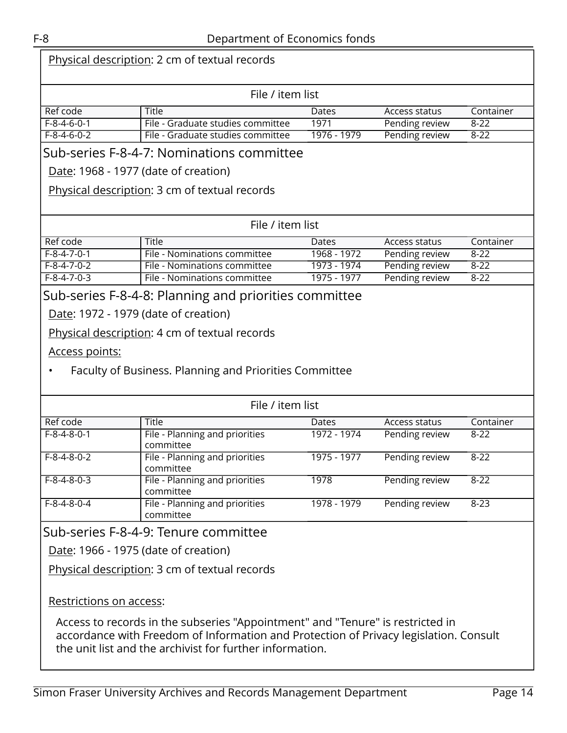| Physical description: 2 cm of textual records |                                                                                                                                                                                                                                     |             |                      |           |  |  |  |
|-----------------------------------------------|-------------------------------------------------------------------------------------------------------------------------------------------------------------------------------------------------------------------------------------|-------------|----------------------|-----------|--|--|--|
|                                               | File / item list                                                                                                                                                                                                                    |             |                      |           |  |  |  |
| Ref code                                      | <b>Title</b>                                                                                                                                                                                                                        | Dates       | Access status        | Container |  |  |  |
| $F-8-4-6-0-1$                                 | File - Graduate studies committee                                                                                                                                                                                                   | 1971        | Pending review       | $8 - 22$  |  |  |  |
| $F-8-4-6-0-2$                                 | File - Graduate studies committee                                                                                                                                                                                                   | 1976 - 1979 | Pending review       | $8 - 22$  |  |  |  |
|                                               | Sub-series F-8-4-7: Nominations committee<br>Date: 1968 - 1977 (date of creation)                                                                                                                                                   |             |                      |           |  |  |  |
|                                               | Physical description: 3 cm of textual records                                                                                                                                                                                       |             |                      |           |  |  |  |
|                                               | File / item list                                                                                                                                                                                                                    |             |                      |           |  |  |  |
| Ref code                                      | <b>Title</b>                                                                                                                                                                                                                        | Dates       | Access status        | Container |  |  |  |
| $F-8-4-7-0-1$                                 | File - Nominations committee                                                                                                                                                                                                        | 1968 - 1972 | Pending review       | $8 - 22$  |  |  |  |
| $F-8-4-7-0-2$                                 | File - Nominations committee                                                                                                                                                                                                        | 1973 - 1974 | Pending review       | $8 - 22$  |  |  |  |
| $F-8-4-7-0-3$                                 | File - Nominations committee                                                                                                                                                                                                        | 1975 - 1977 | Pending review       | $8 - 22$  |  |  |  |
|                                               | Sub-series F-8-4-8: Planning and priorities committee                                                                                                                                                                               |             |                      |           |  |  |  |
|                                               | Date: 1972 - 1979 (date of creation)                                                                                                                                                                                                |             |                      |           |  |  |  |
|                                               | Physical description: 4 cm of textual records                                                                                                                                                                                       |             |                      |           |  |  |  |
| <u>Access points:</u>                         |                                                                                                                                                                                                                                     |             |                      |           |  |  |  |
|                                               | Faculty of Business. Planning and Priorities Committee                                                                                                                                                                              |             |                      |           |  |  |  |
|                                               | File / item list                                                                                                                                                                                                                    |             |                      |           |  |  |  |
| Ref code                                      | <b>Title</b>                                                                                                                                                                                                                        | Dates       | <b>Access status</b> | Container |  |  |  |
| $F-8-4-8-0-1$                                 | File - Planning and priorities<br>committee                                                                                                                                                                                         | 1972 - 1974 | Pending review       | $8 - 22$  |  |  |  |
| $F-8-4-8-0-2$                                 | File - Planning and priorities<br>committee                                                                                                                                                                                         | 1975 - 1977 | Pending review       | $8 - 22$  |  |  |  |
| $F-8-4-8-0-3$                                 | File - Planning and priorities<br>committee                                                                                                                                                                                         | 1978        | Pending review       | $8 - 22$  |  |  |  |
| $F-8-4-8-0-4$                                 | File - Planning and priorities<br>committee                                                                                                                                                                                         | 1978 - 1979 | Pending review       | $8 - 23$  |  |  |  |
|                                               | Sub-series F-8-4-9: Tenure committee                                                                                                                                                                                                |             |                      |           |  |  |  |
|                                               | Date: 1966 - 1975 (date of creation)                                                                                                                                                                                                |             |                      |           |  |  |  |
|                                               | Physical description: 3 cm of textual records                                                                                                                                                                                       |             |                      |           |  |  |  |
| Restrictions on access:                       |                                                                                                                                                                                                                                     |             |                      |           |  |  |  |
|                                               | Access to records in the subseries "Appointment" and "Tenure" is restricted in<br>accordance with Freedom of Information and Protection of Privacy legislation. Consult<br>the unit list and the archivist for further information. |             |                      |           |  |  |  |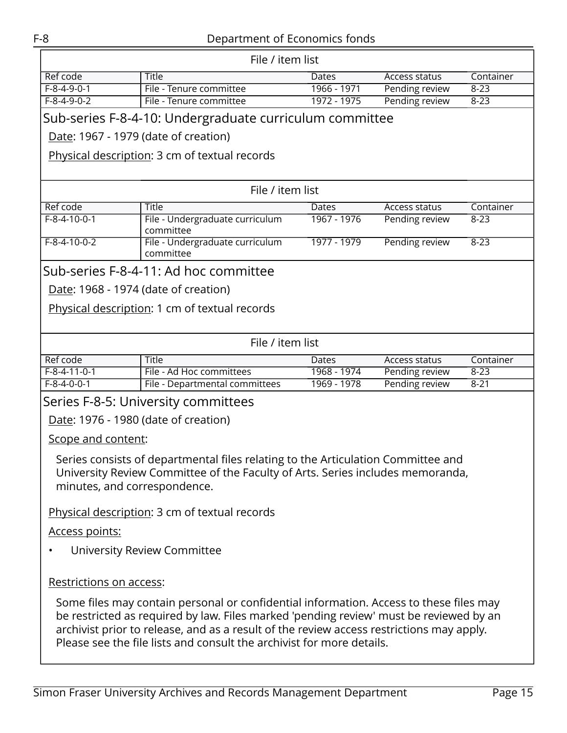<span id="page-14-0"></span>

| File / item list                                                                                                                                                                                                                                                                                                                                      |                                                         |             |                      |           |  |  |
|-------------------------------------------------------------------------------------------------------------------------------------------------------------------------------------------------------------------------------------------------------------------------------------------------------------------------------------------------------|---------------------------------------------------------|-------------|----------------------|-----------|--|--|
| Ref code                                                                                                                                                                                                                                                                                                                                              | <b>Title</b>                                            | Dates       | Access status        | Container |  |  |
| $F-8-4-9-0-1$                                                                                                                                                                                                                                                                                                                                         | File - Tenure committee                                 | 1966 - 1971 | Pending review       | $8 - 23$  |  |  |
| $F-8-4-9-0-2$                                                                                                                                                                                                                                                                                                                                         | File - Tenure committee                                 | 1972 - 1975 | Pending review       | $8 - 23$  |  |  |
|                                                                                                                                                                                                                                                                                                                                                       | Sub-series F-8-4-10: Undergraduate curriculum committee |             |                      |           |  |  |
|                                                                                                                                                                                                                                                                                                                                                       | Date: 1967 - 1979 (date of creation)                    |             |                      |           |  |  |
| Physical description: 3 cm of textual records                                                                                                                                                                                                                                                                                                         |                                                         |             |                      |           |  |  |
|                                                                                                                                                                                                                                                                                                                                                       | File / item list                                        |             |                      |           |  |  |
| Ref code                                                                                                                                                                                                                                                                                                                                              | Title                                                   | Dates       | Access status        | Container |  |  |
| $F-8-4-10-0-1$                                                                                                                                                                                                                                                                                                                                        | File - Undergraduate curriculum<br>committee            | 1967 - 1976 | Pending review       | $8 - 23$  |  |  |
| $F-8-4-10-0-2$                                                                                                                                                                                                                                                                                                                                        | File - Undergraduate curriculum<br>committee            | 1977 - 1979 | Pending review       | $8 - 23$  |  |  |
|                                                                                                                                                                                                                                                                                                                                                       | Sub-series F-8-4-11: Ad hoc committee                   |             |                      |           |  |  |
|                                                                                                                                                                                                                                                                                                                                                       | Date: 1968 - 1974 (date of creation)                    |             |                      |           |  |  |
|                                                                                                                                                                                                                                                                                                                                                       | Physical description: 1 cm of textual records           |             |                      |           |  |  |
|                                                                                                                                                                                                                                                                                                                                                       |                                                         |             |                      |           |  |  |
|                                                                                                                                                                                                                                                                                                                                                       |                                                         |             |                      |           |  |  |
|                                                                                                                                                                                                                                                                                                                                                       | File / item list                                        |             |                      |           |  |  |
| Ref code                                                                                                                                                                                                                                                                                                                                              | <b>Title</b>                                            | Dates       | <b>Access status</b> | Container |  |  |
| $F-8-4-11-0-1$<br>$F-8-4-0-0-1$                                                                                                                                                                                                                                                                                                                       | File - Ad Hoc committees                                | 1968 - 1974 | Pending review       | $8 - 23$  |  |  |
|                                                                                                                                                                                                                                                                                                                                                       | File - Departmental committees                          | 1969 - 1978 | Pending review       | $8 - 21$  |  |  |
|                                                                                                                                                                                                                                                                                                                                                       | Series F-8-5: University committees                     |             |                      |           |  |  |
|                                                                                                                                                                                                                                                                                                                                                       | Date: 1976 - 1980 (date of creation)                    |             |                      |           |  |  |
| Scope and content:                                                                                                                                                                                                                                                                                                                                    |                                                         |             |                      |           |  |  |
| Series consists of departmental files relating to the Articulation Committee and<br>University Review Committee of the Faculty of Arts. Series includes memoranda,                                                                                                                                                                                    |                                                         |             |                      |           |  |  |
| minutes, and correspondence.                                                                                                                                                                                                                                                                                                                          |                                                         |             |                      |           |  |  |
| Physical description: 3 cm of textual records                                                                                                                                                                                                                                                                                                         |                                                         |             |                      |           |  |  |
| Access points:                                                                                                                                                                                                                                                                                                                                        |                                                         |             |                      |           |  |  |
| University Review Committee                                                                                                                                                                                                                                                                                                                           |                                                         |             |                      |           |  |  |
|                                                                                                                                                                                                                                                                                                                                                       |                                                         |             |                      |           |  |  |
| Restrictions on access:                                                                                                                                                                                                                                                                                                                               |                                                         |             |                      |           |  |  |
| Some files may contain personal or confidential information. Access to these files may<br>be restricted as required by law. Files marked 'pending review' must be reviewed by an<br>archivist prior to release, and as a result of the review access restrictions may apply.<br>Please see the file lists and consult the archivist for more details. |                                                         |             |                      |           |  |  |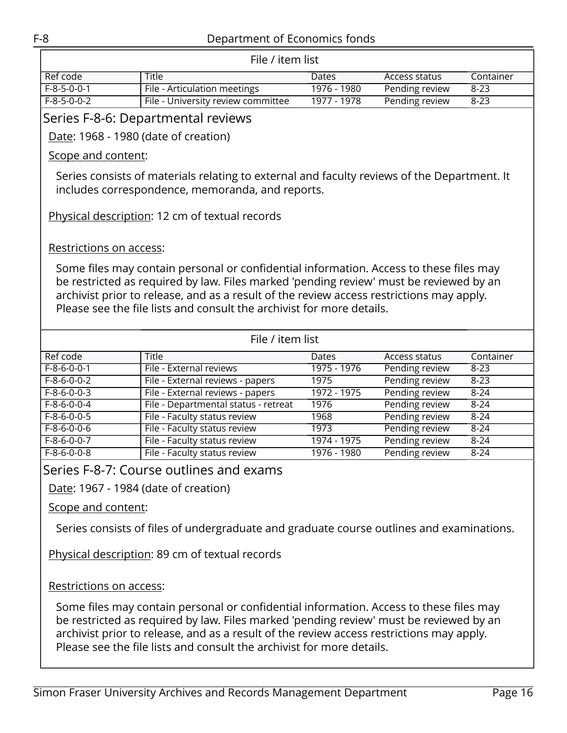<span id="page-15-0"></span>

| File / item list                                                                                                                                                                                                                                                                                                                                      |                                                                                                                                                 |             |                      |           |  |  |  |
|-------------------------------------------------------------------------------------------------------------------------------------------------------------------------------------------------------------------------------------------------------------------------------------------------------------------------------------------------------|-------------------------------------------------------------------------------------------------------------------------------------------------|-------------|----------------------|-----------|--|--|--|
| Ref code                                                                                                                                                                                                                                                                                                                                              | <b>Title</b>                                                                                                                                    | Dates       | Access status        | Container |  |  |  |
| $F-8-5-0-0-1$                                                                                                                                                                                                                                                                                                                                         | File - Articulation meetings                                                                                                                    | 1976 - 1980 | Pending review       | $8 - 23$  |  |  |  |
| $F-8-5-0-0-2$                                                                                                                                                                                                                                                                                                                                         | File - University review committee                                                                                                              | 1977 - 1978 | Pending review       | $8 - 23$  |  |  |  |
|                                                                                                                                                                                                                                                                                                                                                       | Series F-8-6: Departmental reviews                                                                                                              |             |                      |           |  |  |  |
| Date: 1968 - 1980 (date of creation)                                                                                                                                                                                                                                                                                                                  |                                                                                                                                                 |             |                      |           |  |  |  |
| Scope and content:                                                                                                                                                                                                                                                                                                                                    |                                                                                                                                                 |             |                      |           |  |  |  |
|                                                                                                                                                                                                                                                                                                                                                       | Series consists of materials relating to external and faculty reviews of the Department. It<br>includes correspondence, memoranda, and reports. |             |                      |           |  |  |  |
|                                                                                                                                                                                                                                                                                                                                                       | Physical description: 12 cm of textual records                                                                                                  |             |                      |           |  |  |  |
| Restrictions on access:                                                                                                                                                                                                                                                                                                                               |                                                                                                                                                 |             |                      |           |  |  |  |
| Some files may contain personal or confidential information. Access to these files may<br>be restricted as required by law. Files marked 'pending review' must be reviewed by an<br>archivist prior to release, and as a result of the review access restrictions may apply.<br>Please see the file lists and consult the archivist for more details. |                                                                                                                                                 |             |                      |           |  |  |  |
|                                                                                                                                                                                                                                                                                                                                                       | File / item list                                                                                                                                |             |                      |           |  |  |  |
| Ref code                                                                                                                                                                                                                                                                                                                                              | <b>Title</b>                                                                                                                                    | Dates       | <b>Access status</b> | Container |  |  |  |
| $F-8-6-0-0-1$                                                                                                                                                                                                                                                                                                                                         | File - External reviews                                                                                                                         | 1975 - 1976 | Pending review       | $8 - 23$  |  |  |  |
| $F-8-6-0-0-2$                                                                                                                                                                                                                                                                                                                                         | File - External reviews - papers                                                                                                                | 1975        | Pending review       | $8 - 23$  |  |  |  |
| $F-8-6-0-0-3$                                                                                                                                                                                                                                                                                                                                         | File - External reviews - papers                                                                                                                | 1972 - 1975 | Pending review       | $8 - 24$  |  |  |  |
| $F-8-6-0-0-4$                                                                                                                                                                                                                                                                                                                                         | File - Departmental status - retreat                                                                                                            | 1976        | Pending review       | $8 - 24$  |  |  |  |
| $F-8-6-0-0-5$                                                                                                                                                                                                                                                                                                                                         | File - Faculty status review                                                                                                                    | 1968        | Pending review       | $8 - 24$  |  |  |  |
| $F-8-6-0-0-6$                                                                                                                                                                                                                                                                                                                                         | File - Faculty status review                                                                                                                    | 1973        | Pending review       | $8 - 24$  |  |  |  |
| $F-8-6-0-0-7$                                                                                                                                                                                                                                                                                                                                         | File - Faculty status review                                                                                                                    | 1974 - 1975 | Pending review       | $8 - 24$  |  |  |  |
| $F-8-6-0-0-8$                                                                                                                                                                                                                                                                                                                                         | File - Faculty status review                                                                                                                    | 1976 - 1980 | Pending review       | $8 - 24$  |  |  |  |
| Series F-8-7: Course outlines and exams                                                                                                                                                                                                                                                                                                               |                                                                                                                                                 |             |                      |           |  |  |  |
| Date: 1967 - 1984 (date of creation)                                                                                                                                                                                                                                                                                                                  |                                                                                                                                                 |             |                      |           |  |  |  |
| Scope and content:                                                                                                                                                                                                                                                                                                                                    |                                                                                                                                                 |             |                      |           |  |  |  |

<span id="page-15-1"></span>Series consists of files of undergraduate and graduate course outlines and examinations.

Physical description: 89 cm of textual records

Restrictions on access: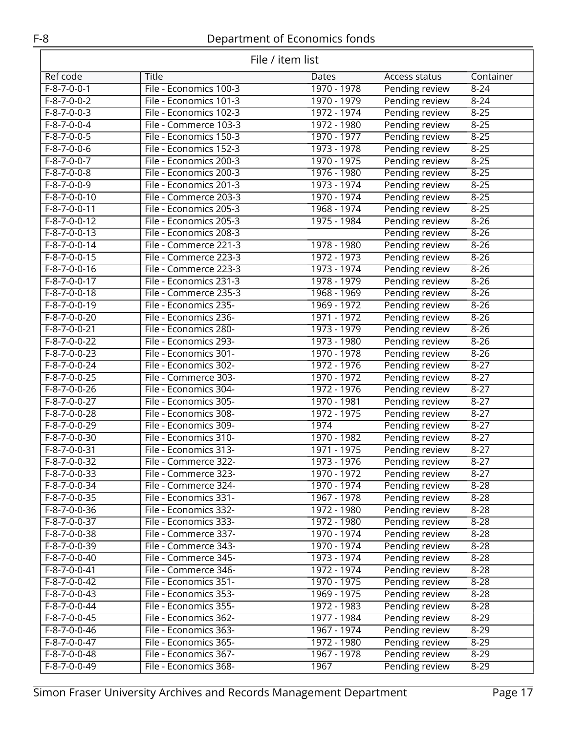| File / item list               |                                                |                              |                                  |                      |  |
|--------------------------------|------------------------------------------------|------------------------------|----------------------------------|----------------------|--|
| Ref code                       | Title                                          | Dates                        | Access status                    | Container            |  |
| $F-8-7-0-0-1$                  | File - Economics 100-3                         | 1970 - 1978                  | Pending review                   | $8 - 24$             |  |
| $F-8-7-0-0-2$                  | File - Economics 101-3                         | 1970 - 1979                  | Pending review                   | $8 - 24$             |  |
| $F-8-7-0-0-3$                  | File - Economics 102-3                         | 1972 - 1974                  | Pending review                   | $8 - 25$             |  |
| $F - 8 - 7 - 0 - 0 - 4$        | File - Commerce 103-3                          | 1972 - 1980                  | Pending review                   | $8 - 25$             |  |
| $F-8-7-0-0-5$                  | File - Economics 150-3                         | 1970 - 1977                  | Pending review                   | $8 - 25$             |  |
| $F-8-7-0-0-6$                  | File - Economics 152-3                         | 1973 - 1978                  | Pending review                   | $8 - 25$             |  |
| $F-8-7-0-0-7$                  | File - Economics 200-3                         | 1970 - 1975                  | Pending review                   | $8 - 25$             |  |
| $F-8-7-0-0-8$                  | File - Economics 200-3                         | 1976 - 1980                  | Pending review                   | $8 - 25$             |  |
| $F-8-7-0-0-9$                  | File - Economics 201-3                         | 1973 - 1974                  | Pending review                   | $8 - 25$             |  |
| $F-8-7-0-0-10$                 | File - Commerce 203-3                          | 1970 - 1974                  | Pending review                   | $8 - 25$             |  |
| $F-8-7-0-0-11$                 | File - Economics 205-3                         | 1968 - 1974                  | Pending review                   | $8 - 25$             |  |
| $F-8-7-0-0-12$                 | File - Economics 205-3                         | 1975 - 1984                  | Pending review                   | $8 - 26$             |  |
| $F-8-7-0-0-13$                 | File - Economics 208-3                         |                              | Pending review                   | $8 - 26$             |  |
| $F-8-7-0-0-14$                 | File - Commerce 221-3                          | 1978 - 1980                  | Pending review                   | $8 - 26$             |  |
| $F-8-7-0-0-15$                 | File - Commerce 223-3                          | 1972 - 1973                  | Pending review                   | $8 - 26$             |  |
| $F-8-7-0-0-16$                 | File - Commerce 223-3                          | 1973 - 1974                  | Pending review                   | $8 - 26$             |  |
| $F-8-7-0-0-17$                 | File - Economics 231-3                         | 1978 - 1979                  | Pending review                   | $8 - 26$             |  |
| $F-8-7-0-0-18$                 | File - Commerce 235-3                          | 1968 - 1969                  | Pending review                   | $8 - 26$             |  |
| $F-8-7-0-0-19$                 | File - Economics 235-                          | 1969 - 1972                  | Pending review                   | $8 - 26$             |  |
| $F-8-7-0-0-20$                 | File - Economics 236-                          | 1971 - 1972                  | Pending review                   | $8 - 26$             |  |
| $F-8-7-0-0-21$                 | File - Economics 280-                          | 1973 - 1979                  | Pending review                   | $8 - 26$             |  |
| $F-8-7-0-0-22$                 | File - Economics 293-                          | 1973 - 1980                  | Pending review                   | $8 - 26$             |  |
| $F-8-7-0-0-23$                 | File - Economics 301-                          | 1970 - 1978                  | Pending review                   | $8 - 26$             |  |
| $F-8-7-0-0-24$                 | File - Economics 302-                          | 1972 - 1976                  | Pending review                   | $8 - 27$             |  |
| $F-8-7-0-0-25$                 | File - Commerce 303-                           | 1970 - 1972                  | Pending review                   | $8 - 27$             |  |
| $F-8-7-0-0-26$                 | File - Economics 304-                          | 1972 - 1976                  | Pending review                   | $8 - 27$             |  |
| $F-8-7-0-0-27$                 | File - Economics 305-                          | 1970 - 1981                  | Pending review                   | $8 - 27$             |  |
| $F-8-7-0-0-28$                 | File - Economics 308-                          | 1972 - 1975                  | Pending review                   | $8 - 27$             |  |
| $F-8-7-0-0-29$                 | File - Economics 309-                          | 1974                         | Pending review                   | $8 - 27$             |  |
| $F-8-7-0-0-30$                 | File - Economics 310-                          | 1970 - 1982                  | Pending review                   | $8 - 27$             |  |
| $F-8-7-0-0-31$                 | File - Economics 313-                          | 1971 - 1975                  | Pending review                   | $8-27$               |  |
| $F-8-7-0-0-32$                 | File - Commerce 322-                           | 1973 - 1976                  | Pending review                   | $8 - 27$             |  |
| F-8-7-0-0-33                   | File - Commerce 323-                           | 1970 - 1972                  | Pending review                   | $8 - 27$             |  |
| F-8-7-0-0-34                   | File - Commerce 324-                           | 1970 - 1974                  | Pending review                   | $8 - 28$             |  |
| F-8-7-0-0-35                   | File - Economics 331-                          | 1967 - 1978                  | Pending review                   | $8 - 28$             |  |
| $F-8-7-0-0-36$                 | File - Economics 332-                          | 1972 - 1980                  | Pending review                   | $8 - 28$             |  |
| $F-8-7-0-0-37$                 | File - Economics 333-                          | 1972 - 1980                  | Pending review                   | $8 - 28$             |  |
| F-8-7-0-0-38                   | File - Commerce 337-                           | 1970 - 1974                  | Pending review                   | $8 - 28$             |  |
| $F-8-7-0-0-39$                 | File - Commerce 343-                           | 1970 - 1974                  | Pending review                   | $8 - 28$             |  |
| F-8-7-0-0-40                   | File - Commerce 345-                           | $1973 - 1974$                | Pending review                   | $8 - 28$             |  |
| F-8-7-0-0-41                   | File - Commerce 346-                           | 1972 - 1974                  | Pending review                   | $8 - 28$             |  |
| F-8-7-0-0-42<br>$F-8-7-0-0-43$ | File - Economics 351-<br>File - Economics 353- | 1970 - 1975<br>$1969 - 1975$ | Pending review                   | $8 - 28$<br>$8 - 28$ |  |
|                                |                                                |                              | Pending review                   |                      |  |
| F-8-7-0-0-44<br>$F-8-7-0-0-45$ | File - Economics 355-                          | 1972 - 1983                  | Pending review                   | $8 - 28$             |  |
| $F-8-7-0-0-46$                 | File - Economics 362-                          | 1977 - 1984                  | Pending review                   | $8 - 29$<br>$8 - 29$ |  |
| F-8-7-0-0-47                   | File - Economics 363-<br>File - Economics 365- | 1967 - 1974<br>1972 - 1980   | Pending review<br>Pending review | $8 - 29$             |  |
| F-8-7-0-0-48                   | File - Economics 367-                          |                              | Pending review                   | $8 - 29$             |  |
| F-8-7-0-0-49                   | File - Economics 368-                          | 1967 - 1978<br>1967          | Pending review                   | $8 - 29$             |  |
|                                |                                                |                              |                                  |                      |  |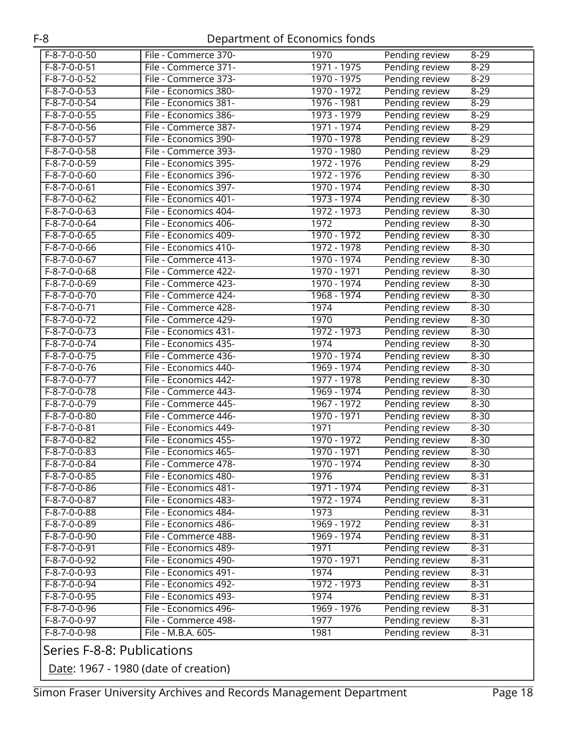| $F-8-7-0-0-50$             | File - Commerce 370-  | 1970        | Pending review        | $8 - 29$ |  |  |
|----------------------------|-----------------------|-------------|-----------------------|----------|--|--|
| $F-8-7-0-0-51$             | File - Commerce 371-  | 1971 - 1975 | Pending review        | $8 - 29$ |  |  |
| $F-8-7-0-0-52$             | File - Commerce 373-  | 1970 - 1975 | Pending review        | $8 - 29$ |  |  |
| $F-8-7-0-0-53$             | File - Economics 380- | 1970 - 1972 | Pending review        | $8 - 29$ |  |  |
| $F-8-7-0-0-54$             | File - Economics 381- | 1976 - 1981 | Pending review        | $8 - 29$ |  |  |
| $F-8-7-0-0-55$             | File - Economics 386- | 1973 - 1979 | Pending review        | $8 - 29$ |  |  |
| $F-8-7-0-0-56$             | File - Commerce 387-  | 1971 - 1974 | Pending review        | $8 - 29$ |  |  |
| $F-8-7-0-0-57$             | File - Economics 390- | 1970 - 1978 | Pending review        | $8 - 29$ |  |  |
| $F-8-7-0-0-58$             | File - Commerce 393-  | 1970 - 1980 | Pending review        | $8 - 29$ |  |  |
| $F-8-7-0-0-59$             | File - Economics 395- | 1972 - 1976 | Pending review        | $8 - 29$ |  |  |
| $F-8-7-0-0-60$             | File - Economics 396- | 1972 - 1976 | Pending review        | $8 - 30$ |  |  |
| $F-8-7-0-0-61$             | File - Economics 397- | 1970 - 1974 | Pending review        | $8 - 30$ |  |  |
| $F-8-7-0-0-62$             | File - Economics 401- | 1973 - 1974 | Pending review        | $8 - 30$ |  |  |
| $F-8-7-0-0-63$             | File - Economics 404- | 1972 - 1973 | Pending review        | $8 - 30$ |  |  |
| $F-8-7-0-0-64$             | File - Economics 406- | 1972        | Pending review        | $8 - 30$ |  |  |
| $F-8-7-0-0-65$             | File - Economics 409- | 1970 - 1972 | Pending review        | $8 - 30$ |  |  |
| $F-8-7-0-0-66$             | File - Economics 410- | 1972 - 1978 | Pending review        | $8 - 30$ |  |  |
| $F-8-7-0-0-67$             | File - Commerce 413-  | 1970 - 1974 | Pending review        | $8 - 30$ |  |  |
| $F-8-7-0-0-68$             | File - Commerce 422-  | 1970 - 1971 | Pending review        | $8 - 30$ |  |  |
| $F-8-7-0-0-69$             | File - Commerce 423-  | 1970 - 1974 | Pending review        | $8 - 30$ |  |  |
| $F-8-7-0-0-70$             | File - Commerce 424-  | 1968 - 1974 | Pending review        | $8 - 30$ |  |  |
| $F-8-7-0-0-71$             | File - Commerce 428-  | 1974        | Pending review        | $8 - 30$ |  |  |
| $F-8-7-0-0-72$             | File - Commerce 429-  | 1970        | Pending review        | $8 - 30$ |  |  |
| $F-8-7-0-0-73$             | File - Economics 431- | 1972 - 1973 | <b>Pending review</b> | $8 - 30$ |  |  |
| $F-8-7-0-0-74$             | File - Economics 435- | 1974        | Pending review        | $8 - 30$ |  |  |
| $F-8-7-0-0-75$             | File - Commerce 436-  | 1970 - 1974 | Pending review        | $8 - 30$ |  |  |
| $F-8-7-0-0-76$             | File - Economics 440- | 1969 - 1974 | Pending review        | $8 - 30$ |  |  |
| $F-8-7-0-0-77$             | File - Economics 442- | 1977 - 1978 | Pending review        | $8 - 30$ |  |  |
| $F-8-7-0-0-78$             | File - Commerce 443-  | 1969 - 1974 | Pending review        | $8 - 30$ |  |  |
| $F-8-7-0-0-79$             | File - Commerce 445-  | 1967 - 1972 | Pending review        | $8 - 30$ |  |  |
| $F-8-7-0-0-80$             | File - Commerce 446-  | 1970 - 1971 | Pending review        | $8 - 30$ |  |  |
| $F-8-7-0-0-81$             | File - Economics 449- | 1971        | Pending review        | $8 - 30$ |  |  |
| $F-8-7-0-0-82$             | File - Economics 455- | 1970 - 1972 | Pending review        | $8 - 30$ |  |  |
| $F-8-7-0-0-83$             | File - Economics 465- | 1970 - 1971 | Pending review        | $8 - 30$ |  |  |
| $F-8-7-0-0-84$             | File - Commerce 478-  | 1970 - 1974 | Pending review        | $8 - 30$ |  |  |
| F-8-7-0-0-85               | File - Economics 480- | 1976        | Pending review        | $8 - 31$ |  |  |
| F-8-7-0-0-86               | File - Economics 481- | 1971 - 1974 | Pending review        | $8 - 31$ |  |  |
| F-8-7-0-0-87               | File - Economics 483- | 1972 - 1974 | Pending review        | $8 - 31$ |  |  |
| $F-8-7-0-0-88$             | File - Economics 484- | 1973        | Pending review        | $8 - 31$ |  |  |
| F-8-7-0-0-89               | File - Economics 486- | 1969 - 1972 | Pending review        | $8 - 31$ |  |  |
| F-8-7-0-0-90               | File - Commerce 488-  | 1969 - 1974 | Pending review        | $8 - 31$ |  |  |
| $F-8-7-0-0-91$             | File - Economics 489- | 1971        | Pending review        | $8 - 31$ |  |  |
| F-8-7-0-0-92               | File - Economics 490- | 1970 - 1971 | Pending review        | $8 - 31$ |  |  |
| $F-8-7-0-0-93$             | File - Economics 491- | 1974        | Pending review        | $8 - 31$ |  |  |
| $F-8-7-0-0-94$             | File - Economics 492- | 1972 - 1973 | Pending review        | $8 - 31$ |  |  |
| F-8-7-0-0-95               | File - Economics 493- | 1974        | Pending review        | $8 - 31$ |  |  |
| F-8-7-0-0-96               | File - Economics 496- | 1969 - 1976 | Pending review        | $8 - 31$ |  |  |
| F-8-7-0-0-97               | File - Commerce 498-  | 1977        | Pending review        | $8 - 31$ |  |  |
| F-8-7-0-0-98               | File - M.B.A. 605-    | 1981        | Pending review        | $8 - 31$ |  |  |
| Carios E 0 0. Dublications |                       |             |                       |          |  |  |

### <span id="page-17-0"></span>Series F-8-8: Publications

Date: 1967 - 1980 (date of creation)